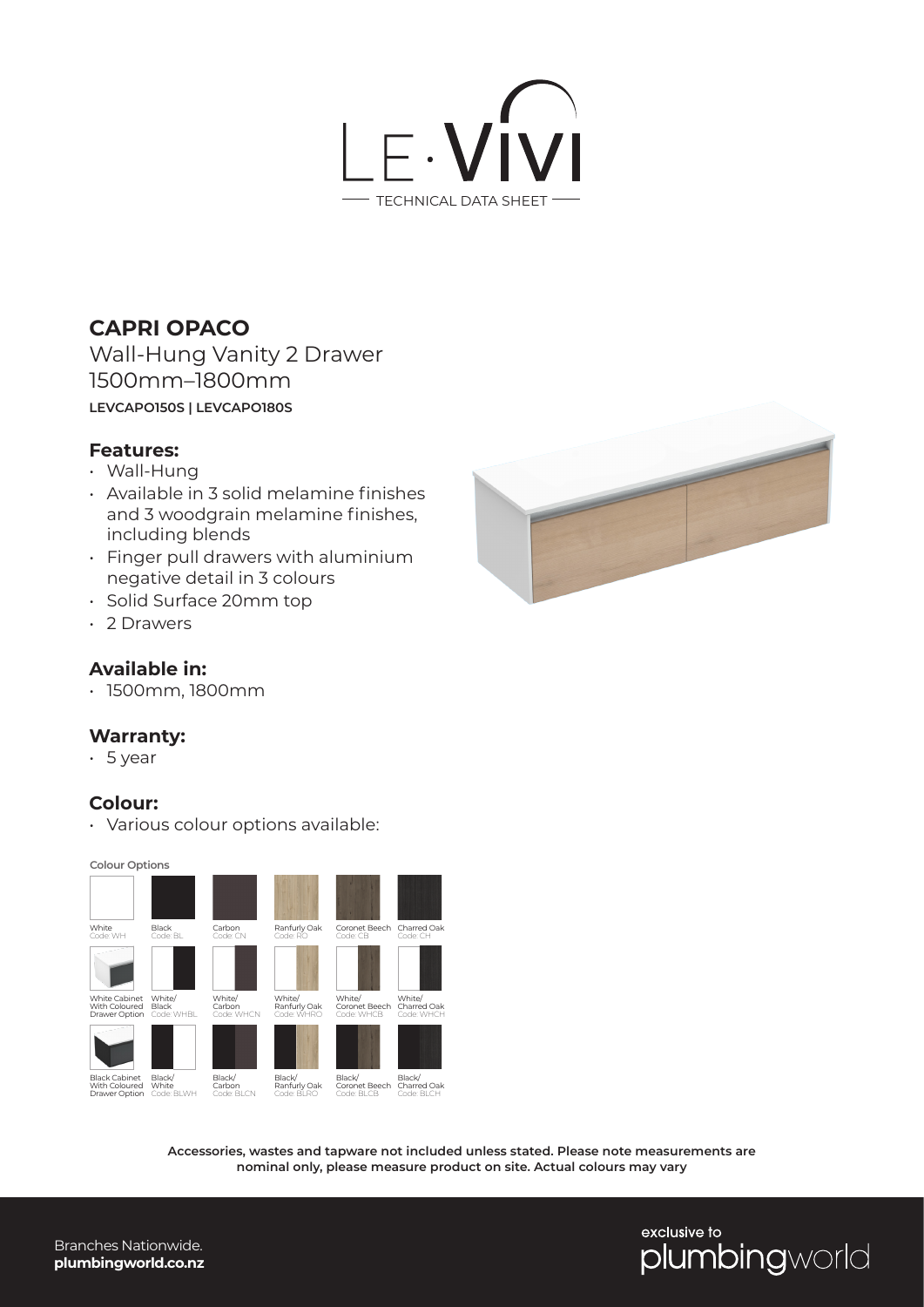

# **CAPRI OPACO**

Wall-Hung Vanity 2 Drawer 1500mm–1800mm **LEVCAPO150S | LEVCAPO180S**

#### **Features:**

- Wall-Hung
- Available in 3 solid melamine finishes and 3 woodgrain melamine finishes, including blends
- Finger pull drawers with aluminium negative detail in 3 colours
- Solid Surface 20mm top
- 2 Drawers

## **Available in:**

• 1500mm, 1800mm

#### **Warranty:**

• 5 year

### **Colour:**

• Various colour options available:

**Colour Options**



**Accessories, wastes and tapware not included unless stated. Please note measurements are nominal only, please measure product on site. Actual colours may vary**